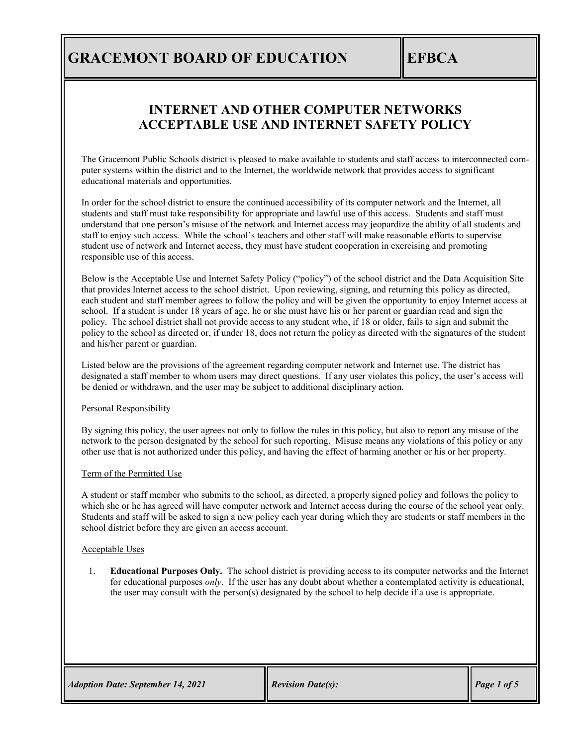### **INTERNET AND OTHER COMPUTER NETWORKS ACCEPTABLE USE AND INTERNET SAFETY POLICY**

The Gracemont Public Schools district is pleased to make available to students and staff access to interconnected computer systems within the district and to the Internet, the worldwide network that provides access to significant educational materials and opportunities.

In order for the school district to ensure the continued accessibility of its computer network and the Internet, all students and staff must take responsibility for appropriate and lawful use of this access. Students and staff must understand that one person's misuse of the network and Internet access may jeopardize the ability of all students and staff to enjoy such access. While the school's teachers and other staff will make reasonable efforts to supervise student use of network and Internet access, they must have student cooperation in exercising and promoting responsible use of this access.

Below is the Acceptable Use and Internet Safety Policy ("policy") of the school district and the Data Acquisition Site that provides Internet access to the school district. Upon reviewing, signing, and returning this policy as directed, each student and staff member agrees to follow the policy and will be given the opportunity to enjoy Internet access at school. If a student is under 18 years of age, he or she must have his or her parent or guardian read and sign the policy. The school district shall not provide access to any student who, if 18 or older, fails to sign and submit the policy to the school as directed or, if under 18, does not return the policy as directed with the signatures of the student and his/her parent or guardian.

Listed below are the provisions of the agreement regarding computer network and Internet use. The district has designated a staff member to whom users may direct questions. If any user violates this policy, the user's access will be denied or withdrawn, and the user may be subject to additional disciplinary action.

#### Personal Responsibility

By signing this policy, the user agrees not only to follow the rules in this policy, but also to report any misuse of the network to the person designated by the school for such reporting. Misuse means any violations of this policy or any other use that is not authorized under this policy, and having the effect of harming another or his or her property.

#### Term of the Permitted Use

A student or staff member who submits to the school, as directed, a properly signed policy and follows the policy to which she or he has agreed will have computer network and Internet access during the course of the school year only. Students and staff will be asked to sign a new policy each year during which they are students or staff members in the school district before they are given an access account.

#### Acceptable Uses

1. **Educational Purposes Only.** The school district is providing access to its computer networks and the Internet for educational purposes *only*. If the user has any doubt about whether a contemplated activity is educational, the user may consult with the person(s) designated by the school to help decide if a use is appropriate.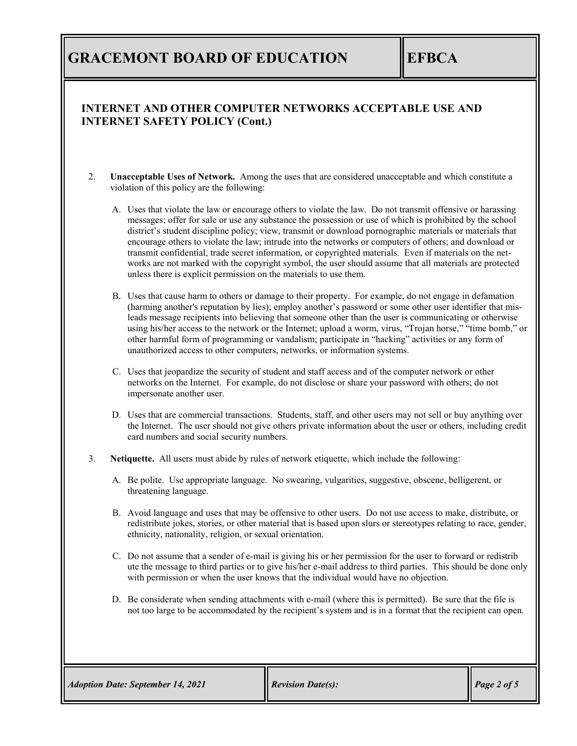### **INTERNET AND OTHER COMPUTER NETWORKS ACCEPTABLE USE AND INTERNET SAFETY POLICY (Cont.)**

- 2. **Unacceptable Uses of Network.** Among the uses that are considered unacceptable and which constitute a violation of this policy are the following:
	- A. Uses that violate the law or encourage others to violate the law. Do not transmit offensive or harassing messages; offer for sale or use any substance the possession or use of which is prohibited by the school district's student discipline policy; view, transmit or download pornographic materials or materials that encourage others to violate the law; intrude into the networks or computers of others; and download or transmit confidential, trade secret information, or copyrighted materials. Even if materials on the networks are not marked with the copyright symbol, the user should assume that all materials are protected unless there is explicit permission on the materials to use them.
	- B. Uses that cause harm to others or damage to their property. For example, do not engage in defamation (harming another's reputation by lies); employ another's password or some other user identifier that misleads message recipients into believing that someone other than the user is communicating or otherwise using his/her access to the network or the Internet; upload a worm, virus, "Trojan horse," "time bomb," or other harmful form of programming or vandalism; participate in "hacking" activities or any form of unauthorized access to other computers, networks, or information systems.
	- C. Uses that jeopardize the security of student and staff access and of the computer network or other networks on the Internet. For example, do not disclose or share your password with others; do not impersonate another user.
	- D. Uses that are commercial transactions. Students, staff, and other users may not sell or buy anything over the Internet. The user should not give others private information about the user or others, including credit card numbers and social security numbers.
- 3. **Netiquette.** All users must abide by rules of network etiquette, which include the following:
	- A. Be polite. Use appropriate language. No swearing, vulgarities, suggestive, obscene, belligerent, or threatening language.
	- B. Avoid language and uses that may be offensive to other users. Do not use access to make, distribute, or redistribute jokes, stories, or other material that is based upon slurs or stereotypes relating to race, gender, ethnicity, nationality, religion, or sexual orientation.
	- C. Do not assume that a sender of e-mail is giving his or her permission for the user to forward or redistrib ute the message to third parties or to give his/her e-mail address to third parties. This should be done only with permission or when the user knows that the individual would have no objection.
	- D. Be considerate when sending attachments with e-mail (where this is permitted). Be sure that the file is not too large to be accommodated by the recipient's system and is in a format that the recipient can open.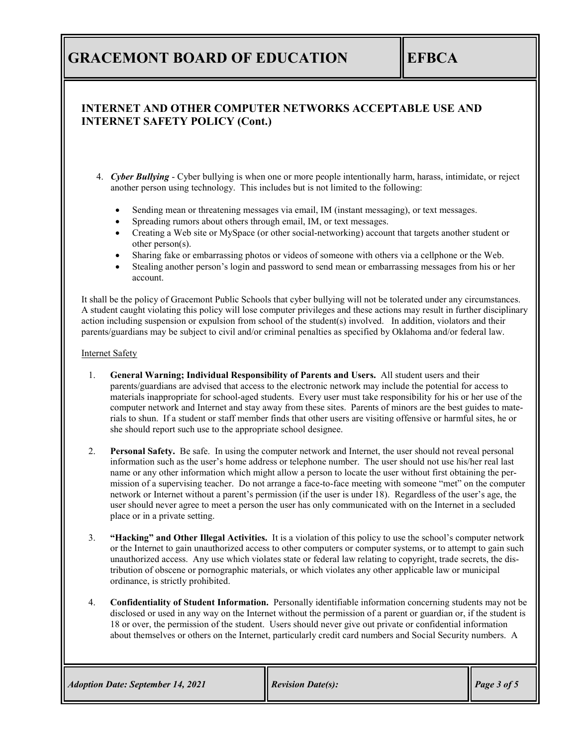### **INTERNET AND OTHER COMPUTER NETWORKS ACCEPTABLE USE AND INTERNET SAFETY POLICY (Cont.)**

- 4. *Cyber Bullying* Cyber bullying is when one or more people intentionally harm, harass, intimidate, or reject another person using technology. This includes but is not limited to the following:
	- Sending mean or threatening messages via email, IM (instant messaging), or text messages.
	- Spreading rumors about others through email, IM, or text messages.
	- Creating a Web site or MySpace (or other social-networking) account that targets another student or other person(s).
	- Sharing fake or embarrassing photos or videos of someone with others via a cellphone or the Web.
	- Stealing another person's login and password to send mean or embarrassing messages from his or her account.

It shall be the policy of Gracemont Public Schools that cyber bullying will not be tolerated under any circumstances. A student caught violating this policy will lose computer privileges and these actions may result in further disciplinary action including suspension or expulsion from school of the student(s) involved. In addition, violators and their parents/guardians may be subject to civil and/or criminal penalties as specified by Oklahoma and/or federal law.

#### Internet Safety

- 1. **General Warning; Individual Responsibility of Parents and Users.** All student users and their parents/guardians are advised that access to the electronic network may include the potential for access to materials inappropriate for school-aged students. Every user must take responsibility for his or her use of the computer network and Internet and stay away from these sites. Parents of minors are the best guides to materials to shun. If a student or staff member finds that other users are visiting offensive or harmful sites, he or she should report such use to the appropriate school designee.
- 2. **Personal Safety.** Be safe. In using the computer network and Internet, the user should not reveal personal information such as the user's home address or telephone number. The user should not use his/her real last name or any other information which might allow a person to locate the user without first obtaining the permission of a supervising teacher. Do not arrange a face-to-face meeting with someone "met" on the computer network or Internet without a parent's permission (if the user is under 18). Regardless of the user's age, the user should never agree to meet a person the user has only communicated with on the Internet in a secluded place or in a private setting.
- 3. **"Hacking" and Other Illegal Activities.** It is a violation of this policy to use the school's computer network or the Internet to gain unauthorized access to other computers or computer systems, or to attempt to gain such unauthorized access. Any use which violates state or federal law relating to copyright, trade secrets, the distribution of obscene or pornographic materials, or which violates any other applicable law or municipal ordinance, is strictly prohibited.
- 4. **Confidentiality of Student Information.** Personally identifiable information concerning students may not be disclosed or used in any way on the Internet without the permission of a parent or guardian or, if the student is 18 or over, the permission of the student. Users should never give out private or confidential information about themselves or others on the Internet, particularly credit card numbers and Social Security numbers. A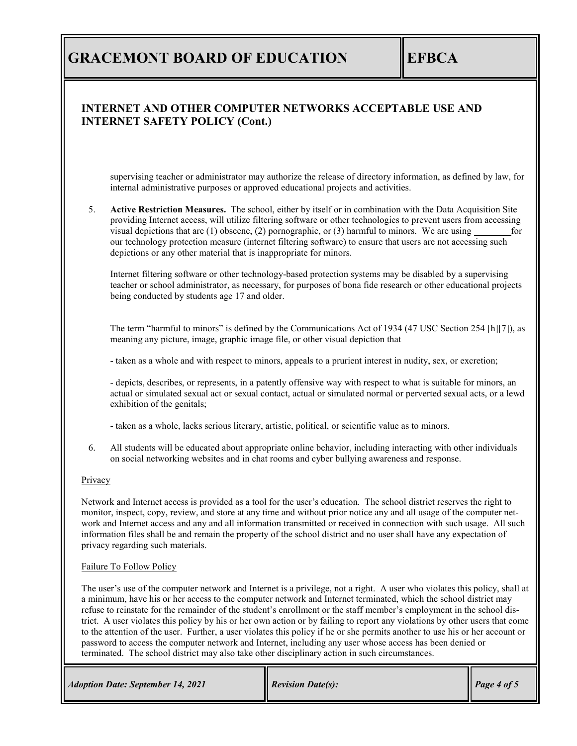### **INTERNET AND OTHER COMPUTER NETWORKS ACCEPTABLE USE AND INTERNET SAFETY POLICY (Cont.)**

supervising teacher or administrator may authorize the release of directory information, as defined by law, for internal administrative purposes or approved educational projects and activities.

5. **Active Restriction Measures.** The school, either by itself or in combination with the Data Acquisition Site providing Internet access, will utilize filtering software or other technologies to prevent users from accessing visual depictions that are  $(1)$  obscene,  $(2)$  pornographic, or  $(3)$  harmful to minors. We are using our technology protection measure (internet filtering software) to ensure that users are not accessing such depictions or any other material that is inappropriate for minors.

Internet filtering software or other technology-based protection systems may be disabled by a supervising teacher or school administrator, as necessary, for purposes of bona fide research or other educational projects being conducted by students age 17 and older.

The term "harmful to minors" is defined by the Communications Act of 1934 (47 USC Section 254 [h][7]), as meaning any picture, image, graphic image file, or other visual depiction that

- taken as a whole and with respect to minors, appeals to a prurient interest in nudity, sex, or excretion;

- depicts, describes, or represents, in a patently offensive way with respect to what is suitable for minors, an actual or simulated sexual act or sexual contact, actual or simulated normal or perverted sexual acts, or a lewd exhibition of the genitals;

- taken as a whole, lacks serious literary, artistic, political, or scientific value as to minors.

6. All students will be educated about appropriate online behavior, including interacting with other individuals on social networking websites and in chat rooms and cyber bullying awareness and response.

#### **Privacy**

Network and Internet access is provided as a tool for the user's education. The school district reserves the right to monitor, inspect, copy, review, and store at any time and without prior notice any and all usage of the computer network and Internet access and any and all information transmitted or received in connection with such usage. All such information files shall be and remain the property of the school district and no user shall have any expectation of privacy regarding such materials.

#### Failure To Follow Policy

The user's use of the computer network and Internet is a privilege, not a right. A user who violates this policy, shall at a minimum, have his or her access to the computer network and Internet terminated, which the school district may refuse to reinstate for the remainder of the student's enrollment or the staff member's employment in the school district. A user violates this policy by his or her own action or by failing to report any violations by other users that come to the attention of the user. Further, a user violates this policy if he or she permits another to use his or her account or password to access the computer network and Internet, including any user whose access has been denied or terminated. The school district may also take other disciplinary action in such circumstances.

*Revision Date: September 14, 2021 Revision Date(s):* Page 4 of 5